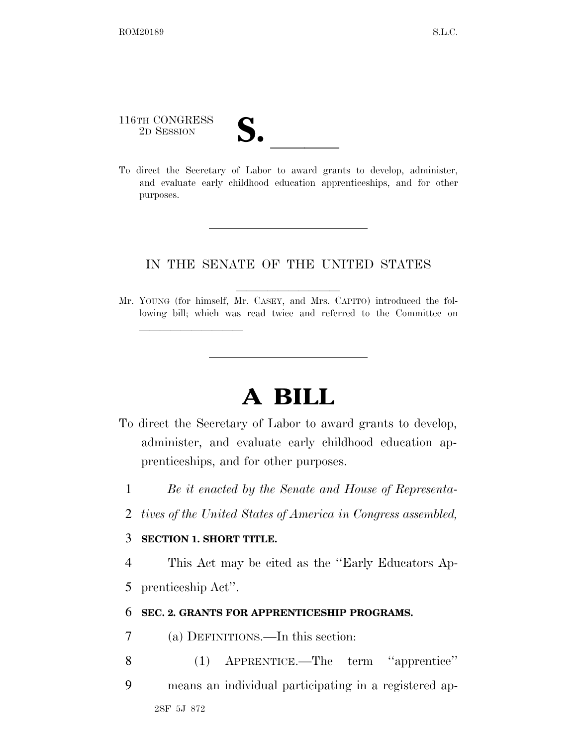116TH CONGRESS 116TH CONGRESS<br>
2D SESSION<br>
To direct the Secretary of Labor to award grants to develop, administer,

lle and a second control of the second control of the second control of the second control of the second control of the second control of the second control of the second control of the second control of the second control

and evaluate early childhood education apprenticeships, and for other purposes.

## IN THE SENATE OF THE UNITED STATES

Mr. YOUNG (for himself, Mr. CASEY, and Mrs. CAPITO) introduced the following bill; which was read twice and referred to the Committee on

## **A BILL**

- To direct the Secretary of Labor to award grants to develop, administer, and evaluate early childhood education apprenticeships, and for other purposes.
	- 1 *Be it enacted by the Senate and House of Representa-*
	- 2 *tives of the United States of America in Congress assembled,*

## 3 **SECTION 1. SHORT TITLE.**

4 This Act may be cited as the ''Early Educators Ap-5 prenticeship Act''.

## 6 **SEC. 2. GRANTS FOR APPRENTICESHIP PROGRAMS.**

- 7 (a) DEFINITIONS.—In this section:
- 8 (1) APPRENTICE.—The term ''apprentice''
- 2SF 5J 872 9 means an individual participating in a registered ap-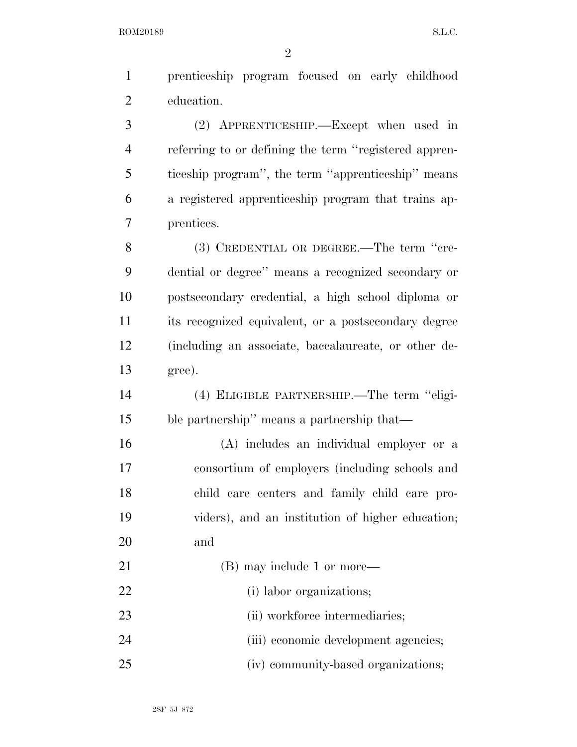| $\mathbf{1}$   | prenticeship program focused on early childhood       |
|----------------|-------------------------------------------------------|
| $\overline{2}$ | education.                                            |
| 3              | (2) APPRENTICESHIP.—Except when used in               |
| $\overline{4}$ | referring to or defining the term "registered appren- |
| 5              | ticeship program", the term "apprenticeship" means    |
| 6              | a registered apprenticeship program that trains ap-   |
| 7              | prentices.                                            |
| 8              | (3) CREDENTIAL OR DEGREE.—The term "cre-              |
| 9              | dential or degree" means a recognized secondary or    |
| 10             | postsecondary credential, a high school diploma or    |
| 11             | its recognized equivalent, or a postsecondary degree  |
| 12             | (including an associate, baccalaureate, or other de-  |
| 13             | gree).                                                |
| 14             | (4) ELIGIBLE PARTNERSHIP.—The term "eligi-            |
| 15             | ble partnership" means a partnership that—            |
| 16             | (A) includes an individual employer or a              |
| 17             | consortium of employers (including schools and        |
| 18             | child care centers and family child care pro-         |
| 19             | viders), and an institution of higher education;      |
| 20             | and                                                   |
| 21             | (B) may include 1 or more—                            |
| 22             | (i) labor organizations;                              |
| 23             | (ii) workforce intermediaries;                        |
| 24             | (iii) economic development agencies;                  |
| 25             | (iv) community-based organizations;                   |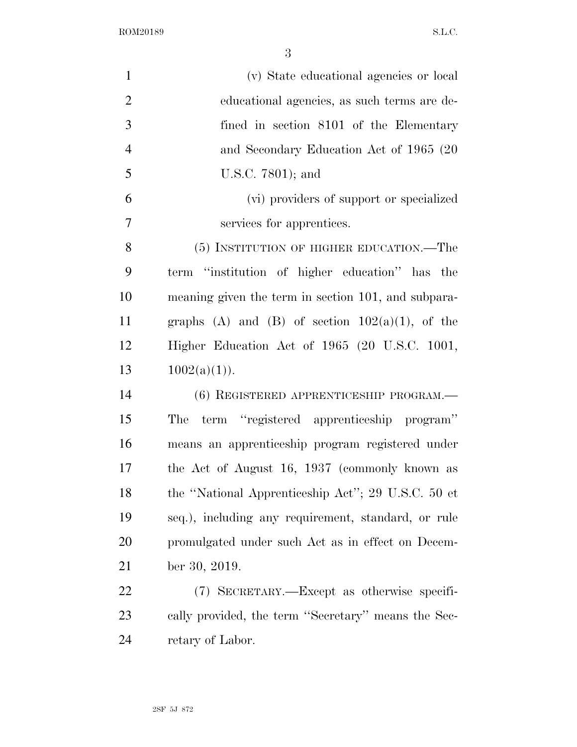| $\mathbf{1}$   | (v) State educational agencies or local             |
|----------------|-----------------------------------------------------|
| $\overline{2}$ | educational agencies, as such terms are de-         |
| 3              | fined in section 8101 of the Elementary             |
| $\overline{4}$ | and Secondary Education Act of 1965 (20             |
| 5              | U.S.C. 7801); and                                   |
| 6              | (vi) providers of support or specialized            |
| $\overline{7}$ | services for apprentices.                           |
| 8              | (5) INSTITUTION OF HIGHER EDUCATION.—The            |
| 9              | term "institution of higher education" has the      |
| 10             | meaning given the term in section 101, and subpara- |
| 11             | graphs (A) and (B) of section $102(a)(1)$ , of the  |
| 12             | Higher Education Act of 1965 (20 U.S.C. 1001,       |
| 13             | $1002(a)(1)$ .                                      |
| 14             | $(6)$ REGISTERED APPRENTICESHIP PROGRAM.—           |
| 15             | term "registered apprenticeship program"<br>The     |
| 16             | means an apprenticeship program registered under    |
| 17             | the Act of August 16, 1937 (commonly known as       |
| 18             | the "National Apprenticeship Act"; 29 U.S.C. 50 et  |
| 19             | seq.), including any requirement, standard, or rule |
| <b>20</b>      | promulgated under such Act as in effect on Decem-   |
| 21             | ber 30, 2019.                                       |
| 22             | (7) SECRETARY.—Except as otherwise specifi-         |
| 23             | cally provided, the term "Secretary" means the Sec- |
| 24             | retary of Labor.                                    |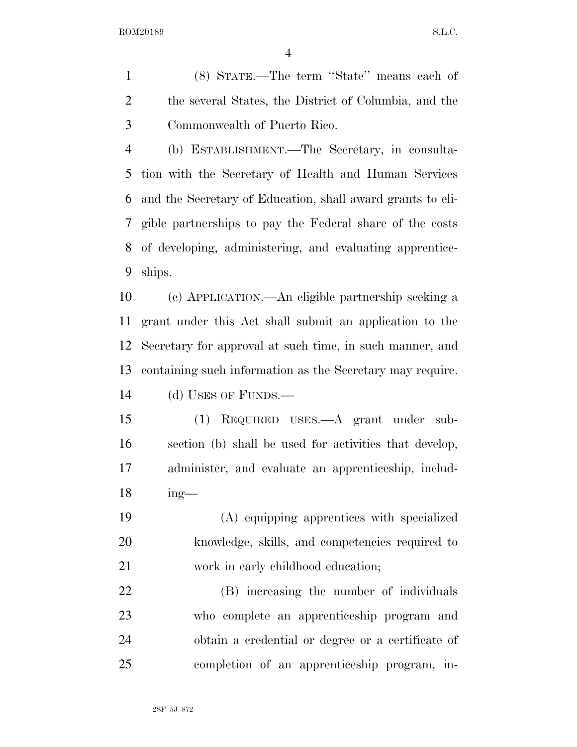(8) STATE.—The term ''State'' means each of the several States, the District of Columbia, and the Commonwealth of Puerto Rico.

 (b) ESTABLISHMENT.—The Secretary, in consulta- tion with the Secretary of Health and Human Services and the Secretary of Education, shall award grants to eli- gible partnerships to pay the Federal share of the costs of developing, administering, and evaluating apprentice-ships.

 (c) APPLICATION.—An eligible partnership seeking a grant under this Act shall submit an application to the Secretary for approval at such time, in such manner, and containing such information as the Secretary may require. (d) USES OF FUNDS.—

 (1) REQUIRED USES.—A grant under sub- section (b) shall be used for activities that develop, administer, and evaluate an apprenticeship, includ-ing—

 (A) equipping apprentices with specialized knowledge, skills, and competencies required to 21 work in early childhood education;

 (B) increasing the number of individuals who complete an apprenticeship program and obtain a credential or degree or a certificate of completion of an apprenticeship program, in-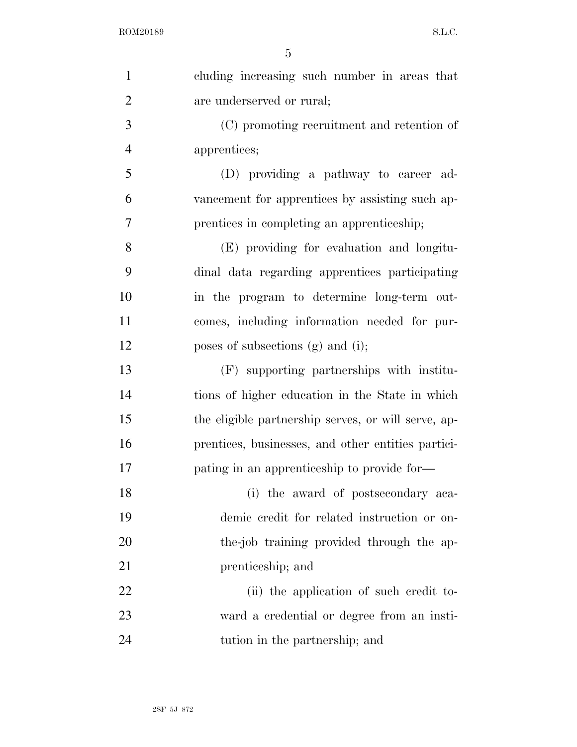| $\mathbf{1}$   | cluding increasing such number in areas that        |
|----------------|-----------------------------------------------------|
| $\overline{2}$ | are underserved or rural;                           |
| 3              | (C) promoting recruitment and retention of          |
| $\overline{4}$ | apprentices;                                        |
| 5              | (D) providing a pathway to career ad-               |
| 6              | vancement for apprentices by assisting such ap-     |
| $\overline{7}$ | prentices in completing an apprenticeship;          |
| 8              | (E) providing for evaluation and longitu-           |
| 9              | dinal data regarding apprentices participating      |
| 10             | in the program to determine long-term out-          |
| 11             | comes, including information needed for pur-        |
| 12             | poses of subsections $(g)$ and $(i)$ ;              |
| 13             | (F) supporting partnerships with institu-           |
| 14             | tions of higher education in the State in which     |
| 15             | the eligible partnership serves, or will serve, ap- |
| 16             | prentices, businesses, and other entities partici-  |
| 17             | pating in an apprenticeship to provide for—         |
| 18             | (i) the award of postsecondary aca-                 |
| 19             | demic credit for related instruction or on-         |
| 20             | the-job training provided through the ap-           |
| 21             | prenticeship; and                                   |
| 22             | (ii) the application of such credit to-             |
| 23             | ward a credential or degree from an insti-          |
| 24             | tution in the partnership; and                      |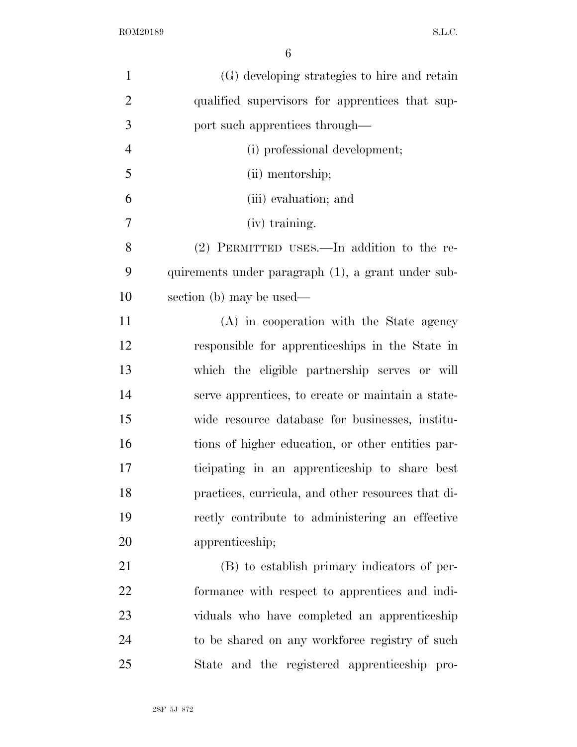| $\mathbf{1}$   | (G) developing strategies to hire and retain       |
|----------------|----------------------------------------------------|
| $\overline{2}$ | qualified supervisors for apprentices that sup-    |
| 3              | port such apprentices through—                     |
| $\overline{4}$ | (i) professional development;                      |
| 5              | (ii) mentorship;                                   |
| 6              | (iii) evaluation; and                              |
| 7              | (iv) training.                                     |
| 8              | $(2)$ PERMITTED USES.—In addition to the re-       |
| 9              | quirements under paragraph (1), a grant under sub- |
| 10             | section (b) may be used—                           |
| 11             | (A) in cooperation with the State agency           |
| 12             | responsible for apprenticeships in the State in    |
| 13             | which the eligible partnership serves or will      |
| 14             | serve apprentices, to create or maintain a state-  |
| 15             | wide resource database for businesses, institu-    |
| 16             | tions of higher education, or other entities par-  |
| 17             | ticipating in an apprenticeship to share best      |
| 18             | practices, curricula, and other resources that di- |
| 19             | rectly contribute to administering an effective    |
| 20             | apprenticeship;                                    |
| 21             | (B) to establish primary indicators of per-        |
| 22             | formance with respect to apprentices and indi-     |
| 23             | viduals who have completed an apprenticeship       |
| 24             | to be shared on any workforce registry of such     |
| 25             | State and the registered apprenticeship pro-       |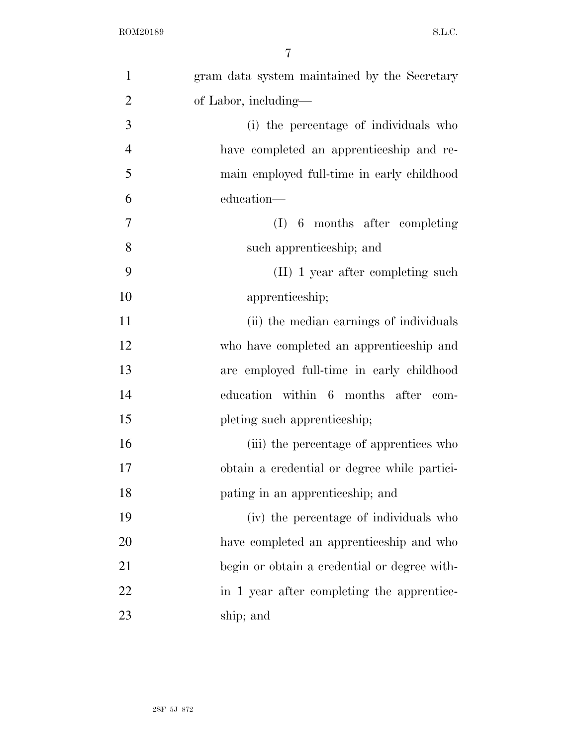| $\mathbf{1}$   | gram data system maintained by the Secretary |
|----------------|----------------------------------------------|
| $\overline{2}$ | of Labor, including—                         |
| 3              | (i) the percentage of individuals who        |
| $\overline{4}$ | have completed an apprentice ship and re-    |
| 5              | main employed full-time in early childhood   |
| 6              | education—                                   |
| 7              | 6 months after completing<br>(I)             |
| 8              | such apprenticeship; and                     |
| 9              | (II) 1 year after completing such            |
| 10             | apprenticeship;                              |
| 11             | (ii) the median earnings of individuals      |
| 12             | who have completed an apprentice ship and    |
| 13             | are employed full-time in early childhood    |
| 14             | education within 6 months after com-         |
| 15             | pleting such apprenticeship;                 |
| 16             | (iii) the percentage of apprentices who      |
| 17             | obtain a credential or degree while partici- |
| 18             | pating in an apprenticeship; and             |
| 19             | (iv) the percentage of individuals who       |
| 20             | have completed an apprentice ship and who    |
| 21             | begin or obtain a credential or degree with- |
| 22             | in 1 year after completing the apprentice-   |
| 23             | ship; and                                    |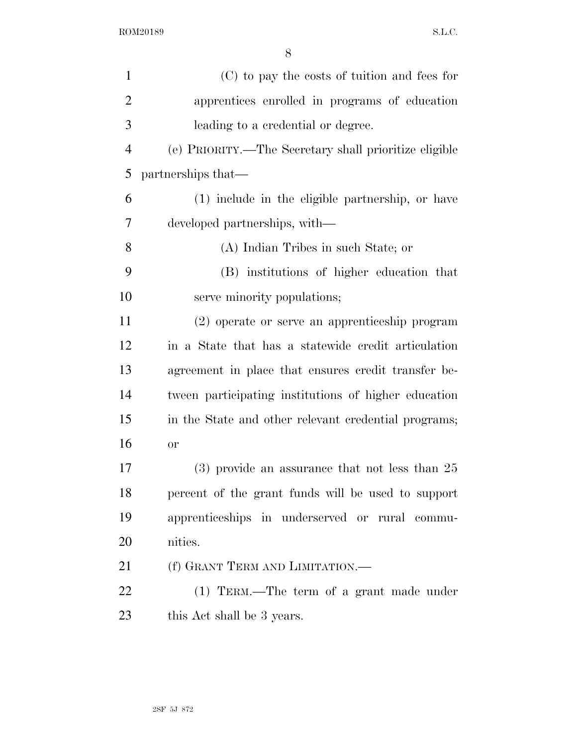| $\mathbf{1}$   | (C) to pay the costs of tuition and fees for          |
|----------------|-------------------------------------------------------|
| $\overline{2}$ | apprentices enrolled in programs of education         |
| 3              | leading to a credential or degree.                    |
| $\overline{4}$ | (e) PRIORITY.—The Secretary shall prioritize eligible |
| 5              | partnerships that—                                    |
| 6              | (1) include in the eligible partnership, or have      |
| 7              | developed partnerships, with—                         |
| 8              | (A) Indian Tribes in such State; or                   |
| 9              | (B) institutions of higher education that             |
| 10             | serve minority populations;                           |
| 11             | (2) operate or serve an apprenticeship program        |
| 12             | in a State that has a statewide credit articulation   |
| 13             | agreement in place that ensures credit transfer be-   |
| 14             | tween participating institutions of higher education  |
| 15             | in the State and other relevant credential programs;  |
| 16             | or                                                    |
| 17             | $(3)$ provide an assurance that not less than 25      |
| 18             | percent of the grant funds will be used to support    |
| 19             | apprenticeships in underserved or rural commu-        |
| 20             | nities.                                               |
| 21             | (f) GRANT TERM AND LIMITATION.—                       |
| 22             | $(1)$ TERM.—The term of a grant made under            |
| 23             | this Act shall be 3 years.                            |
|                |                                                       |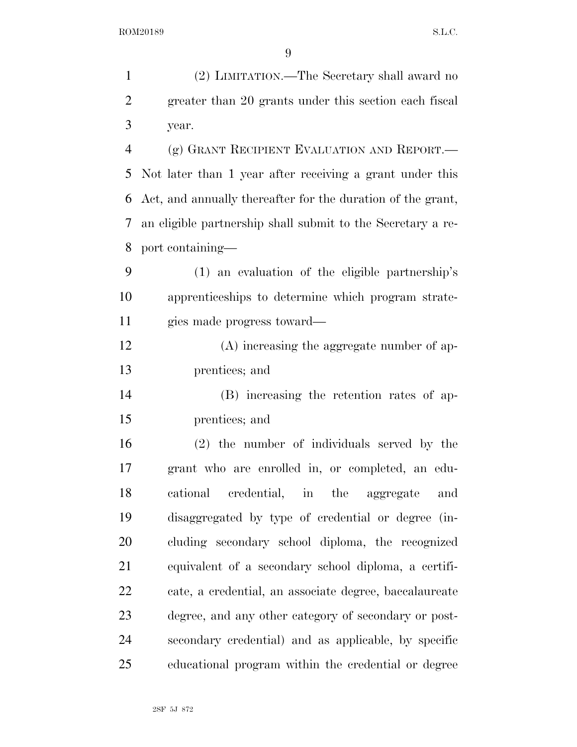| $\mathbf{1}$   | (2) LIMITATION.—The Secretary shall award no                |
|----------------|-------------------------------------------------------------|
| $\overline{2}$ | greater than 20 grants under this section each fiscal       |
| 3              | year.                                                       |
| $\overline{4}$ | (g) GRANT RECIPIENT EVALUATION AND REPORT.—                 |
| 5              | Not later than 1 year after receiving a grant under this    |
| 6              | Act, and annually thereafter for the duration of the grant, |
| 7              | an eligible partnership shall submit to the Secretary a re- |
| 8              | port containing—                                            |
| 9              | $(1)$ an evaluation of the eligible partnership's           |
| 10             | apprenticeships to determine which program strate-          |
| 11             | gies made progress toward—                                  |
| 12             | (A) increasing the aggregate number of ap-                  |
| 13             | prentices; and                                              |
| 14             | (B) increasing the retention rates of ap-                   |
| 15             | prentices; and                                              |
| 16             | $(2)$ the number of individuals served by the               |
| 17             | grant who are enrolled in, or completed, an edu-            |
| 18             | cational credential, in the aggregate<br>and                |
| 19             | disaggregated by type of credential or degree (in-          |
| 20             | cluding secondary school diploma, the recognized            |
| 21             | equivalent of a secondary school diploma, a certifi-        |
| 22             | cate, a credential, an associate degree, baccalaureate      |
| 23             | degree, and any other category of secondary or post-        |
| 24             | secondary credential) and as applicable, by specific        |
| 25             | educational program within the credential or degree         |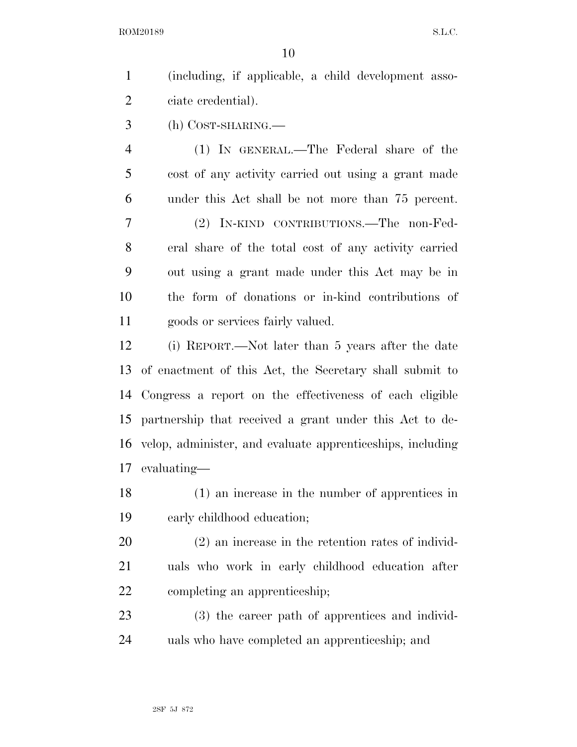(including, if applicable, a child development asso-ciate credential).

(h) COST-SHARING.—

 (1) IN GENERAL.—The Federal share of the cost of any activity carried out using a grant made under this Act shall be not more than 75 percent.

 (2) IN-KIND CONTRIBUTIONS.—The non-Fed- eral share of the total cost of any activity carried out using a grant made under this Act may be in the form of donations or in-kind contributions of goods or services fairly valued.

 (i) REPORT.—Not later than 5 years after the date of enactment of this Act, the Secretary shall submit to Congress a report on the effectiveness of each eligible partnership that received a grant under this Act to de- velop, administer, and evaluate apprenticeships, including evaluating—

 (1) an increase in the number of apprentices in early childhood education;

 (2) an increase in the retention rates of individ- uals who work in early childhood education after completing an apprenticeship;

 (3) the career path of apprentices and individ-uals who have completed an apprenticeship; and